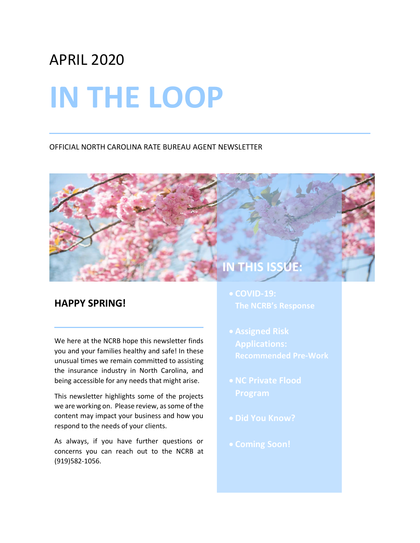## APRIL 2020

# **IN THE LOOP**

#### OFFICIAL NORTH CAROLINA RATE BUREAU AGENT NEWSLETTER

### **HAPPY SPRING!**

We here at the NCRB hope this newsletter finds you and your families healthy and safe! In these unusual times we remain committed to assisting the insurance industry in North Carolina, and being accessible for any needs that might arise.

This newsletter highlights some of the projects we are working on. Please review, as some of the content may impact your business and how you respond to the needs of your clients.

As always, if you have further questions or concerns you can reach out to the NCRB at (919)582-1056.

**The NCRB's Response**

**IN THI** 

- 
- 
- 
-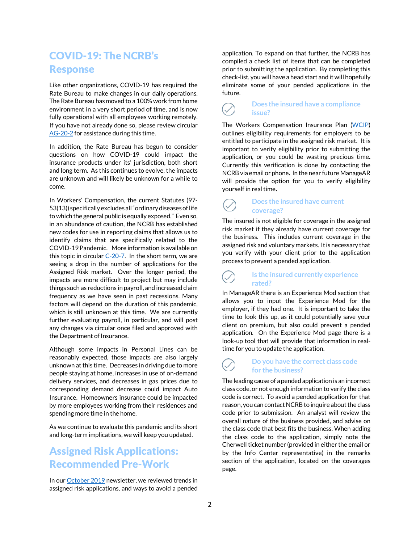## COVID-19: The NCRB's Response

Like other organizations, COVID-19 has required the Rate Bureau to make changes in our daily operations. The Rate Bureau has moved to a 100% work from home environment in a very short period of time, and is now fully operational with all employees working remotely. If you have not already done so, please review circular [AG-20-2](http://www.ncrb.org/Portals/0/ncrb/Agent%20Communication/2020/AG-20-2%20%20NC%20Rate%20Bureau%20Operations%20and%20COVID-19.pdf?ver=2020-03-16-151531-140) for assistance during this time.

In addition, the Rate Bureau has begun to consider questions on how COVID-19 could impact the insurance products under its' jurisdiction, both short and long term. As this continues to evolve, the impacts are unknown and will likely be unknown for a while to come.

In Workers' Compensation, the current Statutes (97- 53(13)) specifically excludes all"ordinary diseases of life to which the general public is equally exposed." Even so, in an abundance of caution, the NCRB has established new codes for use in reporting claims that allows us to identify claims that are specifically related to the COVID-19 Pandemic. More information is available on this topic in circular  $C-20-7$ . In the short term, we are seeing a drop in the number of applications for the Assigned Risk market. Over the longer period, the impacts are more difficult to project but may include things such as reductions in payroll, and increased claim frequency as we have seen in past recessions. Many factors will depend on the duration of this pandemic, which is still unknown at this time. We are currently further evaluating payroll, in particular, and will post any changes via circular once filed and approved with the Department of Insurance.

Although some impacts in Personal Lines can be reasonably expected, those impacts are also largely unknown at this time. Decreases in driving due to more people staying at home, increases in use of on-demand delivery services, and decreases in gas prices due to corresponding demand decrease could impact Auto Insurance. Homeowners insurance could be impacted by more employees working from their residences and spending more time in the home.

As we continue to evaluate this pandemic and its short and long-term implications, we will keep you updated.

## Assigned Risk Applications: Recommended Pre-Work

In ou[r October 2019](http://www.ncrb.org/Portals/0/ncrb/Agent%20Communication/2019/AG-19-7%20NCRB%20Agent%20Newsletter%20-%20October%202019.pdf?ver=2019-10-02-085507-253) newsletter, we reviewed trends in assigned risk applications, and ways to avoid a pended application. To expand on that further, the NCRB has compiled a check list of items that can be completed prior to submitting the application. By completing this check-list, you will have a head start and it will hopefully eliminate some of your pended applications in the future.

#### **Does the insured have a compliance**  $\checkmark$ **issue?**

The Workers Compensation Insurance Plan [\(WCIP\)](http://www.ncrb.org/Portals/0/ncrb/workers%20comp%20services/forms/WCIP_%203.01.2019.pdf?ver=2019-03-26-155104-963) outlines eligibility requirements for employers to be entitled to participate in the assigned risk market. It is important to verify eligibility prior to submitting the application, or you could be wasting precious time. Currently this verification is done by contacting the NCRB via email or phone. In the near future ManageAR will provide the option for you to verify eligibility yourself in real time.

#### **Does the insured have current coverage?**

The insured is not eligible for coverage in the assigned risk market if they already have current coverage for the business. This includes current coverage in the assigned risk and voluntary markets. It is necessary that you verify with your client prior to the application process to prevent a pended application.

#### **Is the insured currently experience rated?**

In ManageAR there is an Experience Mod section that allows you to input the Experience Mod for the employer, if they had one. It is important to take the time to look this up, as it could potentially save your client on premium, but also could prevent a pended application. On the Experience Mod page there is a look-up tool that will provide that information in realtime for you to update the application.

#### **Do you have the correct class code for the business?**

The leading cause of a pended application is an incorrect class code, or not enough information to verify the class code is correct. To avoid a pended application for that reason, you can contact NCRB to inquire about the class code prior to submission. An analyst will review the overall nature of the business provided, and advise on the class code that best fits the business. When adding the class code to the application, simply note the Cherwell ticket number (provided in either the email or by the Info Center representative) in the remarks section of the application, located on the coverages page.